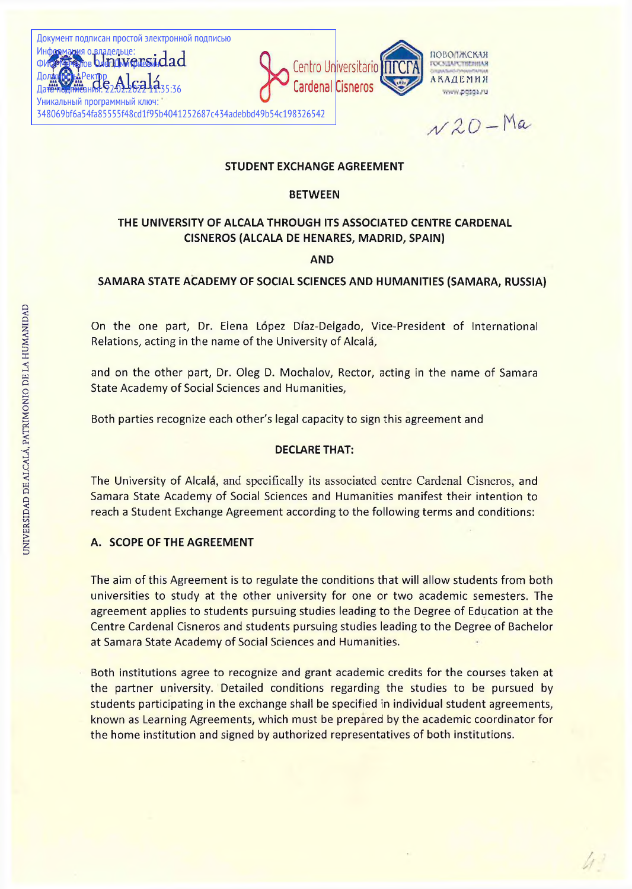348069bf6a54fa85555f48cd1f95b4041252687c434adebbd49b54c198326542

 $\nu$ 20 - Ma

### **STUDENT EXCHANGE AGREEMENT**

#### **BETWEEN**

# **THE UNIVERSITY OF ALCALA THROUGH ITS ASSOCIATED CENTRE CARDENAL CISNEROS (ALCALA DE HENARES, MADRID, SPAIN)**

**AND**

#### **SAMARA STATE ACADEMY OF SOCIAL SCIENCES AND HUMANITIES (SAMARA, RUSSIA)**

On the one part, Dr. Elena Lopez Diaz-Delgado, Vice-President of International Relations, acting in the name of the University of Alcala,

and on the other part, Dr. Oleg D. Mochalov, Rector, acting in the name of Samara State Academy of Social Sciences and Humanities,

Both parties recognize each other's legal capacity to sign this agreement and

#### **DECLARE THAT:**

The University of Alcala, and specifically its associated centre Cardenal Cisneros, and Samara State Academy of Social Sciences and Humanities manifest their intention to reach a Student Exchange Agreement according to the following terms and conditions:

#### **A. SCOPE OF THE AGREEMENT**

The aim of this Agreement is to regulate the conditions that will allow students from both universities to study at the other university for one or two academic semesters. The agreement applies to students pursuing studies leading to the Degree of Education at the Centre Cardenal Cisneros and students pursuing studies leading to the Degree of Bachelor at Samara State Academy of Social Sciences and Humanities.

Both institutions agree to recognize and grant academic credits for the courses taken at the partner university. Detailed conditions regarding the studies to be pursued by students participating in the exchange shall be specified in individual student agreements, known as Learning Agreements, which must be prepared by the academic coordinator for the home institution and signed by authorized representatives of both institutions.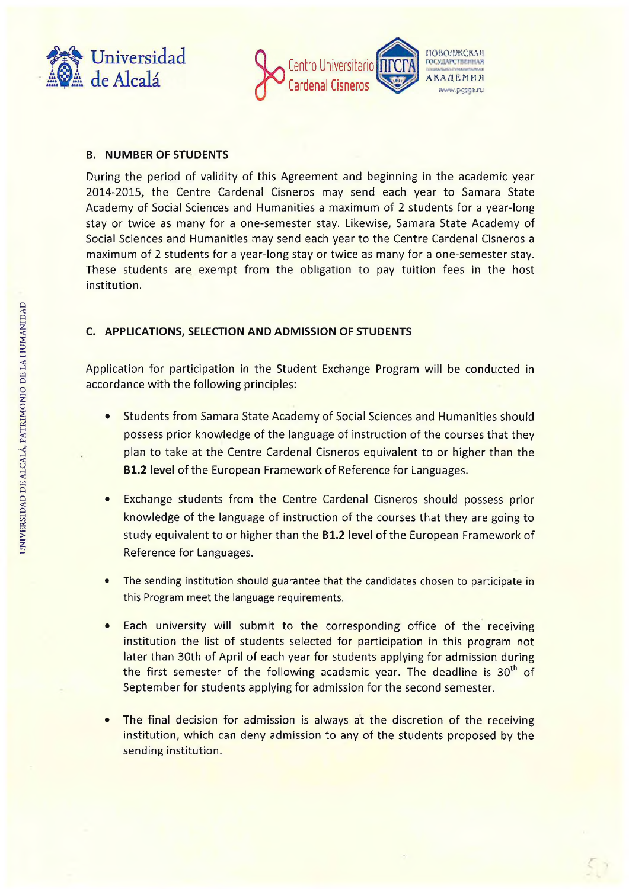



### **B. NUMBER OF STUDENTS**

During the period of validity of this Agreement and beginning in the academic year 2014-2015, the Centre Cardenal Cisneros may send each year to Samara State Academy of Social Sciences and Humanities a maximum of 2 students for a year-long stay or twice as many for a one-semester stay. Likewise, Samara State Academy of Social Sciences and Humanities may send each year to the Centre Cardenal Cisneros a maximum of 2 students for a year-long stay or twice as many for a one-semester stay. These students are exempt from the obligation to pay tuition fees in the host institution.

### **C. APPLICATIONS, SELECTION AND ADMISSION OF STUDENTS**

Application for participation in the Student Exchange Program will be conducted in accordance with the following principles:

- Students from Samara State Academy of Social Sciences and Humanities should possess prior knowledge of the language of instruction of the courses that they plan to take at the Centre Cardenal Cisneros equivalent to or higher than the **B1.2 level** of the European Framework of Reference for Languages.
- Exchange students from the Centre Cardenal Cisneros should possess prior knowledge of the language of instruction of the courses that they are going to study equivalent to or higher than the **B1.2 level** of the European Framework of Reference for Languages.
- The sending institution should guarantee that the candidates chosen to participate in this Program meet the language requirements.
- Each university will submit to the corresponding office of the receiving institution the list of students selected for participation in this program not later than 30th of April of each year for students applying for admission during the first semester of the following academic year. The deadline is 30<sup>th</sup> of September for students applying for admission for the second semester.
- The final decision for admission is always at the discretion of the receiving institution, which can deny admission to any of the students proposed by the sending institution.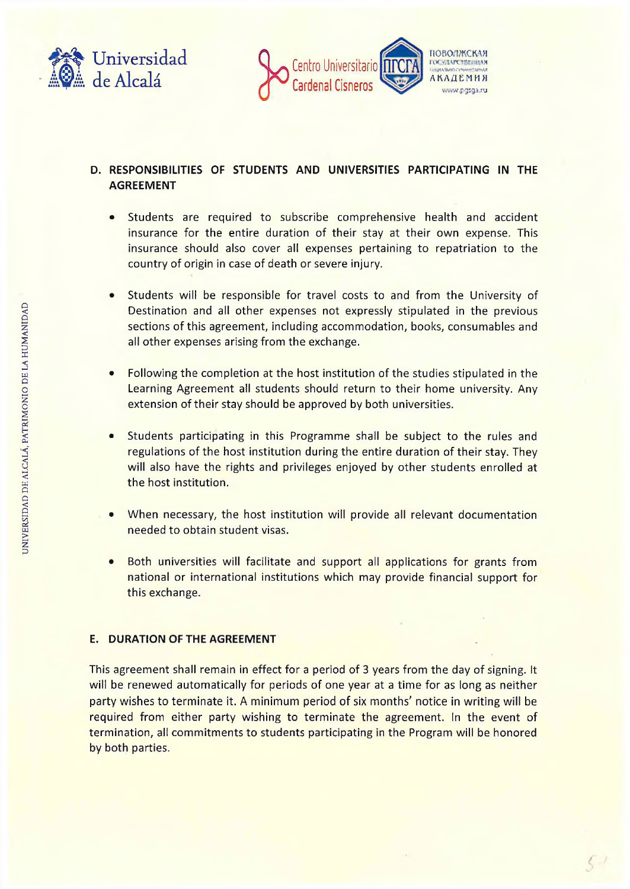



# **D. RESPONSIBILITIES OF STUDENTS AND UNIVERSITIES PARTICIPATING IN THE AGREEMENT**

- Students are required to subscribe comprehensive health and accident insurance for the entire duration of their stay at their own expense. This insurance should also cover all expenses pertaining to repatriation to the country of origin in case of death or severe injury.
- Students will be responsible for travel costs to and from the University of Destination and all other expenses not expressly stipulated in the previous sections of this agreement, including accommodation, books, consumables and all other expenses arising from the exchange.
- Following the completion at the host institution of the studies stipulated in the Learning Agreement all students should return to their home university. Any extension of their stay should be approved by both universities.
- Students participating in this Programme shall be subject to the rules and regulations of the host institution during the entire duration of their stay. They will also have the rights and privileges enjoyed by other students enrolled at the host institution.
- When necessary, the host institution will provide all relevant documentation needed to obtain student visas.
- Both universities will facilitate and support all applications for grants from national or international institutions which may provide financial support for this exchange.

#### **E. DURATION OF THE AGREEMENT**

This agreement shall remain in effect for a period of 3 years from the day of signing. It will be renewed automatically for periods of one year at a time for as long as neither party wishes to terminate it. A minimum period of six months' notice in writing will be required from either party wishing to terminate the agreement. In the event of termination, all commitments to students participating in the Program will be honored by both parties.